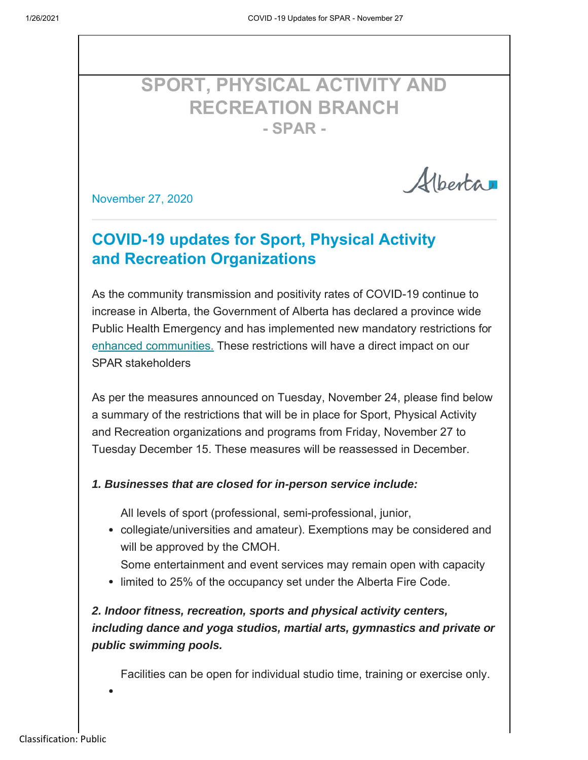Albertan

# **SPORT, PHYSICAL ACTIVITY AND RECREATION BRANCH - SPAR -**

November 27, 2020

# **COVID-19 updates for Sport, Physical Activity and Recreation Organizations**

As the community transmission and positivity rates of COVID-19 continue to increase in Alberta, the Government of Alberta has declared a province wide Public Health Emergency and has implemented new mandatory restrictions for enhanced communities. These restrictions will have a direct impact on our SPAR stakeholders

As per the measures announced on Tuesday, November 24, please find below a summary of the restrictions that will be in place for Sport, Physical Activity and Recreation organizations and programs from Friday, November 27 to Tuesday December 15. These measures will be reassessed in December.

#### *1. Businesses that are closed for in-person service include:*

All levels of sport (professional, semi-professional, junior,

- collegiate/universities and amateur). Exemptions may be considered and will be approved by the CMOH.
	- Some entertainment and event services may remain open with capacity
- limited to 25% of the occupancy set under the Alberta Fire Code.

### *2. Indoor fitness, recreation, sports and physical activity centers, including dance and yoga studios, martial arts, gymnastics and private or public swimming pools.*

Facilities can be open for individual studio time, training or exercise only.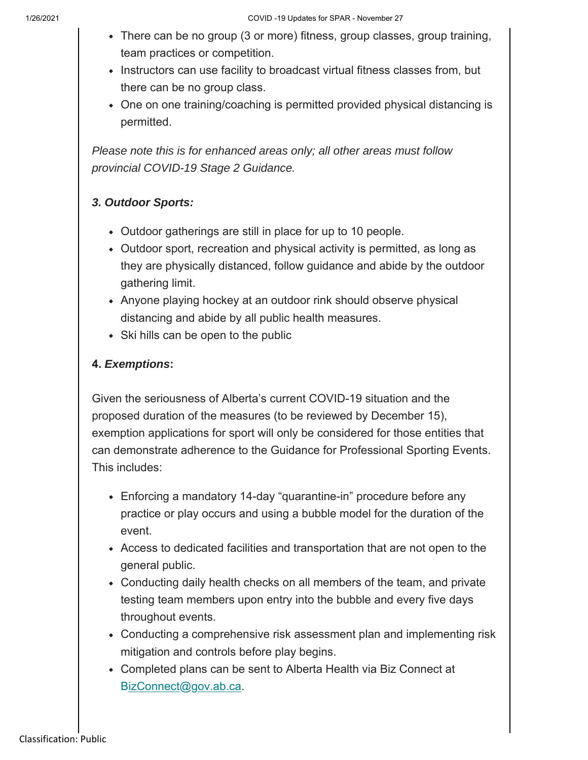- There can be no group (3 or more) fitness, group classes, group training, team practices or competition.
- Instructors can use facility to broadcast virtual fitness classes from, but there can be no group class.
- One on one training/coaching is permitted provided physical distancing is permitted.

*Please note this is for enhanced areas only; all other areas must follow provincial COVID-19 Stage 2 Guidance.*

### *3. Outdoor Sports:*

- Outdoor gatherings are still in place for up to 10 people.
- Outdoor sport, recreation and physical activity is permitted, as long as they are physically distanced, follow guidance and abide by the outdoor gathering limit.
- Anyone playing hockey at an outdoor rink should observe physical distancing and abide by all public health measures.
- Ski hills can be open to the public

#### **4.** *Exemptions***:**

Given the seriousness of Alberta's current COVID-19 situation and the proposed duration of the measures (to be reviewed by December 15), exemption applications for sport will only be considered for those entities that can demonstrate adherence to the Guidance for Professional Sporting Events. This includes:

- Enforcing a mandatory 14-day "quarantine-in" procedure before any practice or play occurs and using a bubble model for the duration of the event.
- Access to dedicated facilities and transportation that are not open to the general public.
- Conducting daily health checks on all members of the team, and private testing team members upon entry into the bubble and every five days throughout events.
- Conducting a comprehensive risk assessment plan and implementing risk mitigation and controls before play begins.
- Completed plans can be sent to Alberta Health via Biz Connect at BizConnect@gov.ab.ca.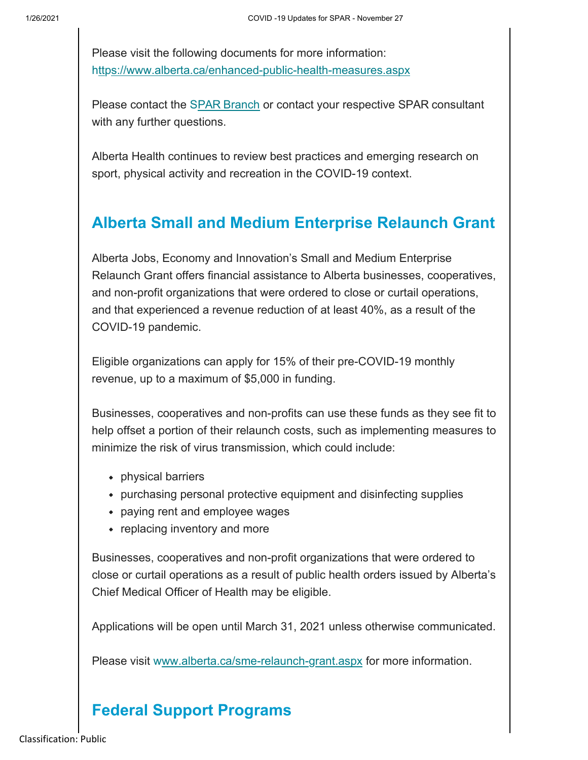Please visit the following documents for more information: https://www.alberta.ca/enhanced-public-health-measures.aspx

Please contact the SPAR Branch or contact your respective SPAR consultant with any further questions.

Alberta Health continues to review best practices and emerging research on sport, physical activity and recreation in the COVID-19 context.

### **Alberta Small and Medium Enterprise Relaunch Grant**

Alberta Jobs, Economy and Innovation's Small and Medium Enterprise Relaunch Grant offers financial assistance to Alberta businesses, cooperatives, and non-profit organizations that were ordered to close or curtail operations, and that experienced a revenue reduction of at least 40%, as a result of the COVID-19 pandemic.

Eligible organizations can apply for 15% of their pre-COVID-19 monthly revenue, up to a maximum of \$5,000 in funding.

Businesses, cooperatives and non-profits can use these funds as they see fit to help offset a portion of their relaunch costs, such as implementing measures to minimize the risk of virus transmission, which could include:

- physical barriers
- purchasing personal protective equipment and disinfecting supplies
- paying rent and employee wages
- replacing inventory and more

Businesses, cooperatives and non-profit organizations that were ordered to close or curtail operations as a result of public health orders issued by Alberta's Chief Medical Officer of Health may be eligible.

Applications will be open until March 31, 2021 unless otherwise communicated.

Please visit www.alberta.ca/sme-relaunch-grant.aspx for more information.

# **Federal Support Programs**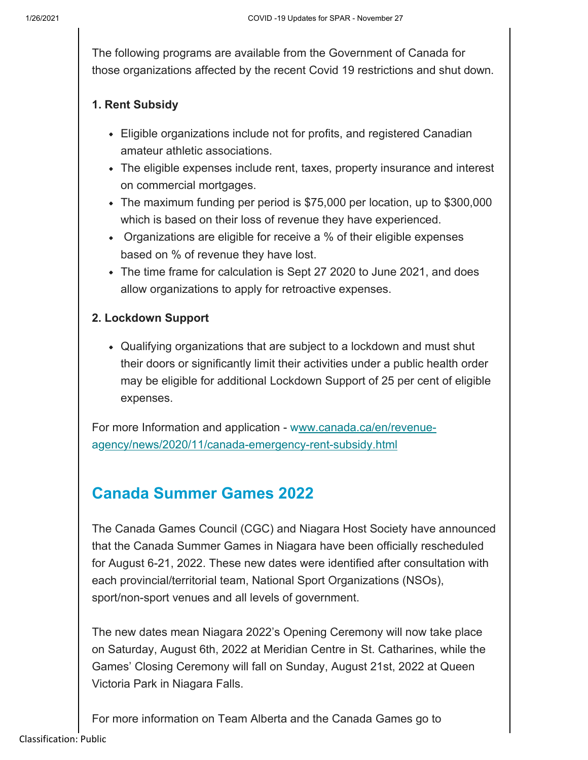The following programs are available from the Government of Canada for those organizations affected by the recent Covid 19 restrictions and shut down.

#### **1. Rent Subsidy**

- Eligible organizations include not for profits, and registered Canadian amateur athletic associations.
- The eligible expenses include rent, taxes, property insurance and interest on commercial mortgages.
- The maximum funding per period is \$75,000 per location, up to \$300,000 which is based on their loss of revenue they have experienced.
- Organizations are eligible for receive a % of their eligible expenses based on % of revenue they have lost.
- The time frame for calculation is Sept 27 2020 to June 2021, and does allow organizations to apply for retroactive expenses.

#### **2. Lockdown Support**

• Qualifying organizations that are subject to a lockdown and must shut their doors or significantly limit their activities under a public health order may be eligible for additional Lockdown Support of 25 per cent of eligible expenses.

For more Information and application - www.canada.ca/en/revenueagency/news/2020/11/canada-emergency-rent-subsidy.html

### **Canada Summer Games 2022**

The Canada Games Council (CGC) and Niagara Host Society have announced that the Canada Summer Games in Niagara have been officially rescheduled for August 6-21, 2022. These new dates were identified after consultation with each provincial/territorial team, National Sport Organizations (NSOs), sport/non-sport venues and all levels of government.

The new dates mean Niagara 2022's Opening Ceremony will now take place on Saturday, August 6th, 2022 at Meridian Centre in St. Catharines, while the Games' Closing Ceremony will fall on Sunday, August 21st, 2022 at Queen Victoria Park in Niagara Falls.

For more information on Team Alberta and the Canada Games go to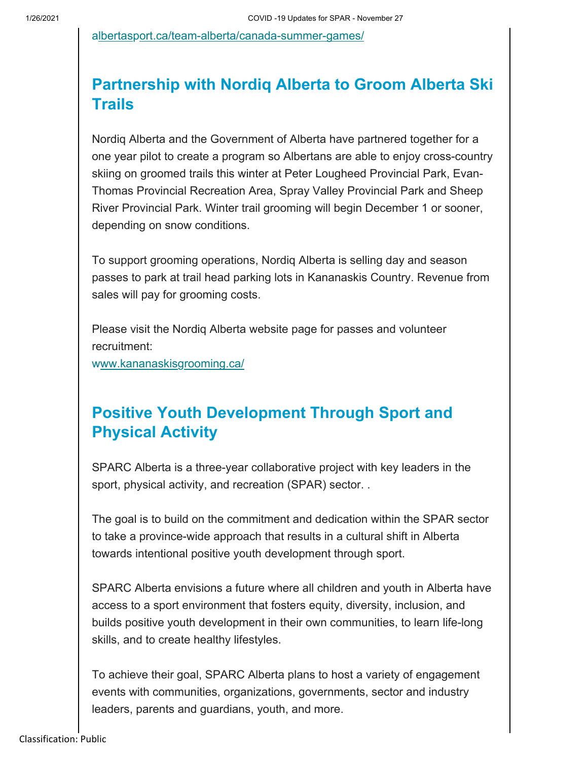a lbertasport.ca/team-alberta/canada-summer-games/

## **Partnership with Nordiq Alberta to Groom Alberta Ski Trails**

Nordiq Alberta and the Government of Alberta have partnered together for a one year pilot to create a program so Albertans are able to enjoy cross-country skiing on groomed trails this winter at Peter Lougheed Provincial Park, Evan-Thomas Provincial Recreation Area, Spray Valley Provincial Park and Sheep River Provincial Park. Winter trail grooming will begin December 1 or sooner, depending on snow conditions.

To support grooming operations, Nordiq Alberta is selling day and season passes to park at trail head parking lots in Kananaskis Country. Revenue from sales will pay for grooming costs.

Please visit the Nordiq Alberta website page for passes and volunteer recruitment:

www.kananaskisgrooming.ca/

## **Positive Youth Development Through Sport and Physical Activity**

SPARC Alberta is a three-year collaborative project with key leaders in the sport, physical activity, and recreation (SPAR) sector. .

The goal is to build on the commitment and dedication within the SPAR sector to take a province-wide approach that results in a cultural shift in Alberta towards intentional positive youth development through sport.

SPARC Alberta envisions a future where all children and youth in Alberta have access to a sport environment that fosters equity, diversity, inclusion, and builds positive youth development in their own communities, to learn life-long skills, and to create healthy lifestyles.

To achieve their goal, SPARC Alberta plans to host a variety of engagement events with communities, organizations, governments, sector and industry leaders, parents and guardians, youth, and more.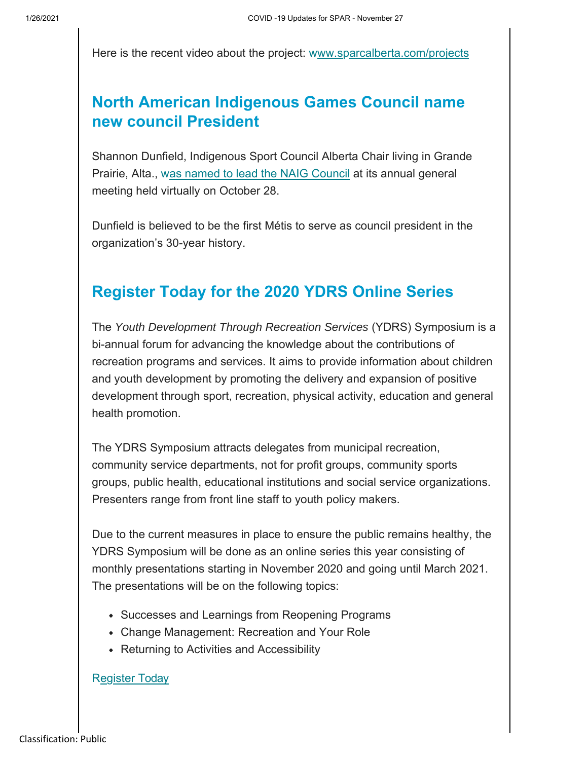Here is the recent video about the project: www.sparcalberta.com/projects

## **North American Indigenous Games Council name new council President**

Shannon Dunfield, Indigenous Sport Council Alberta Chair living in Grande Prairie, Alta., was named to lead the NAIG Council at its annual general meeting held virtually on October 28.

Dunfield is believed to be the first Métis to serve as council president in the organization's 30-year history.

### **Register Today for the 2020 YDRS Online Series**

The *Youth Development Through Recreation Services* (YDRS) Symposium is a bi-annual forum for advancing the knowledge about the contributions of recreation programs and services. It aims to provide information about children and youth development by promoting the delivery and expansion of positive development through sport, recreation, physical activity, education and general health promotion.

The YDRS Symposium attracts delegates from municipal recreation, community service departments, not for profit groups, community sports groups, public health, educational institutions and social service organizations. Presenters range from front line staff to youth policy makers.

Due to the current measures in place to ensure the public remains healthy, the YDRS Symposium will be done as an online series this year consisting of monthly presentations starting in November 2020 and going until March 2021. The presentations will be on the following topics:

- Successes and Learnings from Reopening Programs
- Change Management: Recreation and Your Role
- Returning to Activities and Accessibility

#### **Register Today**